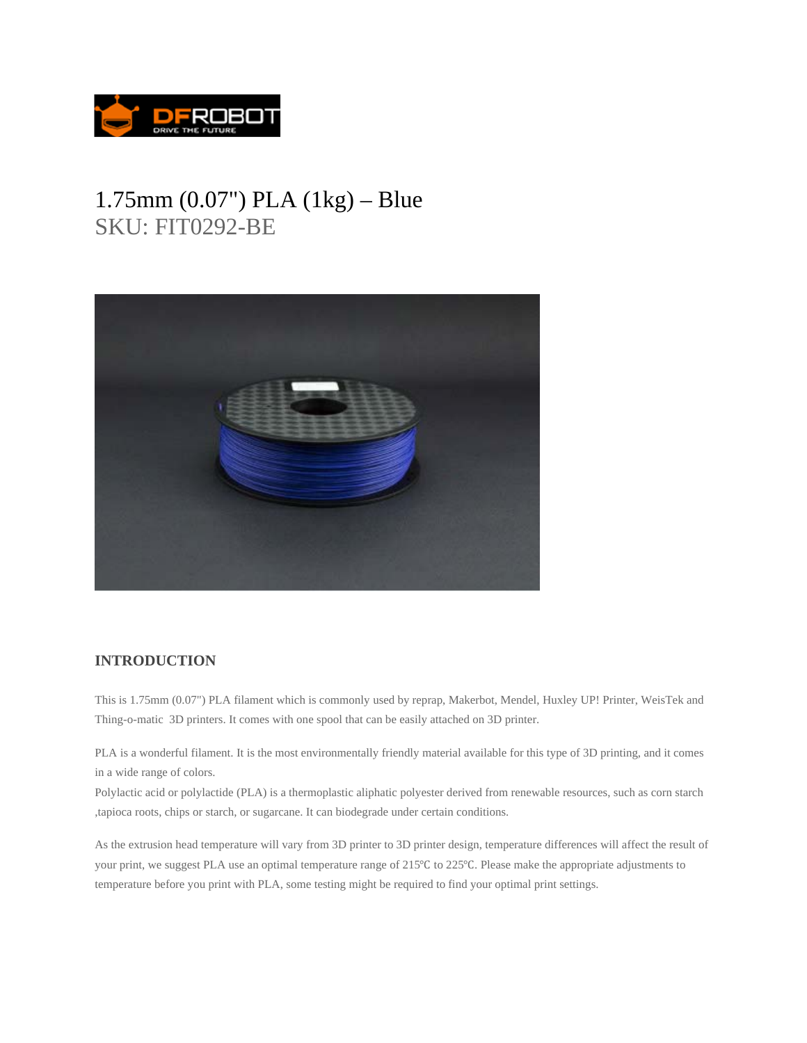

## 1.75mm (0.07") PLA (1kg) – Blue SKU: FIT0292-BE



## **INTRODUCTION**

This is 1.75mm (0.07") PLA filament which is commonly used by reprap, Makerbot, Mendel, Huxley UP! Printer, WeisTek and Thing-o-matic 3D printers. It comes with one spool that can be easily attached on 3D printer.

PLA is a wonderful filament. It is the most environmentally friendly material available for this type of 3D printing, and it comes in a wide range of colors.

Polylactic acid or polylactide (PLA) is a thermoplastic aliphatic polyester derived from renewable resources, such as corn starch ,tapioca roots, chips or starch, or sugarcane. It can biodegrade under certain conditions.

As the extrusion head temperature will vary from 3D printer to 3D printer design, temperature differences will affect the result of your print, we suggest PLA use an optimal temperature range of 215<sup>o</sup>C to 225<sup>o</sup>C. Please make the appropriate adjustments to temperature before you print with PLA, some testing might be required to find your optimal print settings.